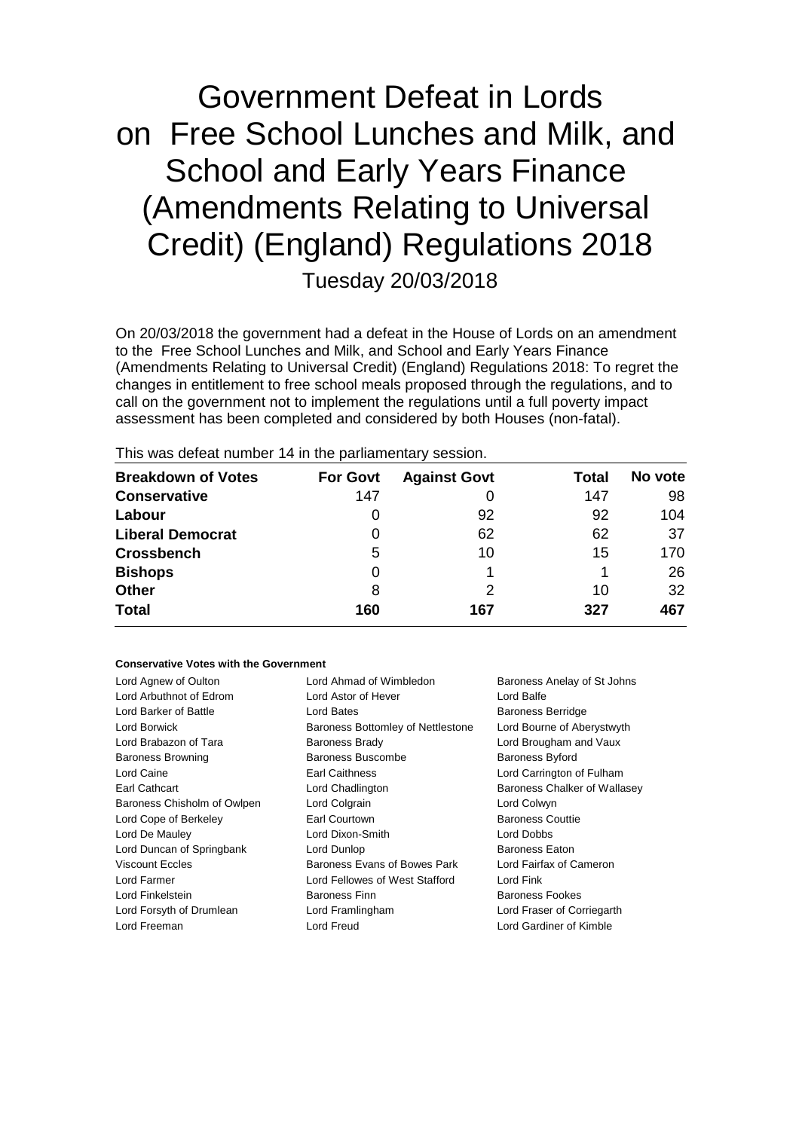# Government Defeat in Lords on Free School Lunches and Milk, and School and Early Years Finance (Amendments Relating to Universal Credit) (England) Regulations 2018 Tuesday 20/03/2018

On 20/03/2018 the government had a defeat in the House of Lords on an amendment to the Free School Lunches and Milk, and School and Early Years Finance (Amendments Relating to Universal Credit) (England) Regulations 2018: To regret the changes in entitlement to free school meals proposed through the regulations, and to call on the government not to implement the regulations until a full poverty impact assessment has been completed and considered by both Houses (non-fatal).

| <b>Breakdown of Votes</b> | <b>For Govt</b> | <b>Against Govt</b> | Total | No vote |
|---------------------------|-----------------|---------------------|-------|---------|
| <b>Conservative</b>       | 147             |                     | 147   | 98      |
| Labour                    | 0               | 92                  | 92    | 104     |
| <b>Liberal Democrat</b>   | 0               | 62                  | 62    | 37      |
| <b>Crossbench</b>         | 5               | 10                  | 15    | 170     |
| <b>Bishops</b>            | 0               |                     |       | 26      |
| <b>Other</b>              | 8               | 2                   | 10    | 32      |
| <b>Total</b>              | 160             | 167                 | 327   | 467     |
|                           |                 |                     |       |         |

This was defeat number 14 in the parliamentary session.

#### **Conservative Votes with the Government**

| Lord Agnew of Oulton        | Lord Ahmad of Wimbledon           | Baroness Anelay of St Johns  |
|-----------------------------|-----------------------------------|------------------------------|
| Lord Arbuthnot of Edrom     | Lord Astor of Hever               | Lord Balfe                   |
| Lord Barker of Battle       | Lord Bates                        | <b>Baroness Berridge</b>     |
| Lord Borwick                | Baroness Bottomley of Nettlestone | Lord Bourne of Aberystwyth   |
| Lord Brabazon of Tara       | Baroness Brady                    | Lord Brougham and Vaux       |
| <b>Baroness Browning</b>    | Baroness Buscombe                 | <b>Baroness Byford</b>       |
| Lord Caine                  | Earl Caithness                    | Lord Carrington of Fulham    |
| Earl Cathcart               | Lord Chadlington                  | Baroness Chalker of Wallasey |
| Baroness Chisholm of Owlpen | Lord Colgrain                     | Lord Colwyn                  |
| Lord Cope of Berkeley       | Earl Courtown                     | <b>Baroness Couttie</b>      |
| Lord De Mauley              | Lord Dixon-Smith                  | Lord Dobbs                   |
| Lord Duncan of Springbank   | Lord Dunlop                       | <b>Baroness Eaton</b>        |
| <b>Viscount Eccles</b>      | Baroness Evans of Bowes Park      | Lord Fairfax of Cameron      |
| Lord Farmer                 | Lord Fellowes of West Stafford    | Lord Fink                    |
| Lord Finkelstein            | <b>Baroness Finn</b>              | <b>Baroness Fookes</b>       |
| Lord Forsyth of Drumlean    | Lord Framlingham                  | Lord Fraser of Corriegarth   |
| Lord Freeman                | Lord Freud                        | Lord Gardiner of Kimble      |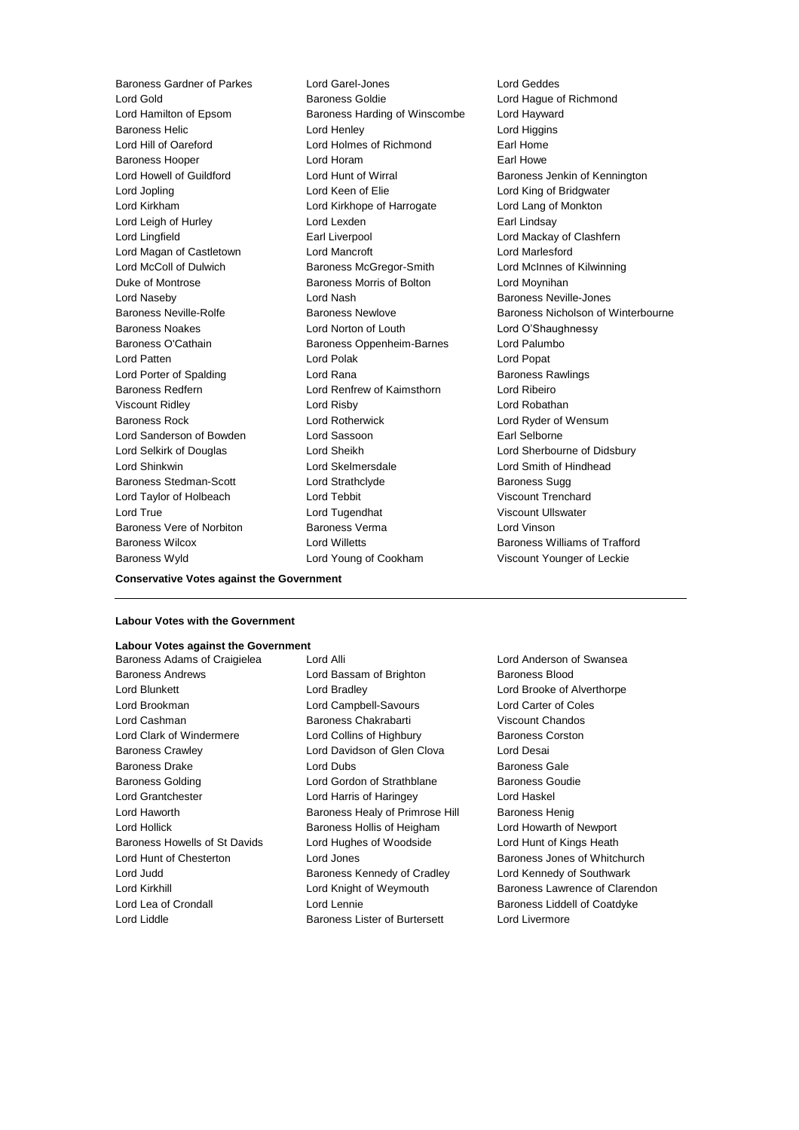Lord Gold **Baroness Goldie Community** Baroness Goldie **Lord Hague of Richmond** Lord Hamilton of Epsom Baroness Harding of Winscombe Lord Hayward Baroness Helic **Lord Henley** Lord Henley **Lord Higgins** Lord Hill of Oareford Lord Holmes of Richmond Earl Home Baroness Hooper **Lord Horam Earl Howe** Earl Howe Lord Howell of Guildford Lord Hunt of Wirral Baroness Jenkin of Kennington Lord Jopling Lord Keen of Elie Lord King of Bridgwater Lord Kirkham Lord Kirkhope of Harrogate Lord Lang of Monkton Lord Leigh of Hurley **Lord Lexden** Earl Lindsay Lord Lingfield **Earl Liverpool** Earl Liverpool **Clashfern** Lord Magan of Castletown Lord Mancroft Lord Marlesford Lord McColl of Dulwich Baroness McGregor-Smith Lord McInnes of Kilwinning Duke of Montrose **Baroness Morris of Bolton** Lord Moynihan Lord Naseby Lord Nash Baroness Neville-Jones Baroness Noakes Lord Norton of Louth Lord O'Shaughnessy Baroness O'Cathain **Baroness Oppenheim-Barnes** Lord Palumbo Lord Patten **Lord Polak** Lord Polak **Lord Popat** Lord Porter of Spalding **Lord Rana Lord Rana** Baroness Rawlings Baroness Redfern Lord Renfrew of Kaimsthorn Lord Ribeiro Viscount Ridley Lord Risby Lord Robathan Baroness Rock Lord Rotherwick Lord Ryder of Wensum Lord Sanderson of Bowden **Lord Sassoon** Earl Selborne Lord Selkirk of Douglas Lord Sheikh Lord Sherbourne of Didsbury Lord Shinkwin Lord Skelmersdale Lord Smith of Hindhead Baroness Stedman-Scott Lord Strathclyde Baroness Sugg Lord Taylor of Holbeach Lord Tebbit Viscount Trenchard Lord True Lord Tugendhat Viscount Ullswater Baroness Vere of Norbiton Baroness Verma Lord Vinson Baroness Wilcox Lord Willetts Baroness Williams of Trafford Baroness Wyld Lord Young of Cookham Viscount Younger of Leckie

Baroness Gardner of Parkes Lord Garel-Jones Lord Geddes

Baroness Neville-Rolfe **Baroness Newlove** Baroness Newlove **Baroness Nicholson of Winterbourne** 

## **Conservative Votes against the Government**

## **Labour Votes with the Government**

**Labour Votes against the Government** Baroness Adams of Craigielea Lord Alli Lord Anderson of Swansea Baroness Andrews Lord Bassam of Brighton Baroness Blood Lord Blunkett Lord Bradley Lord Brooke of Alverthorpe Lord Brookman Lord Campbell-Savours Lord Carter of Coles Lord Cashman Baroness Chakrabarti Viscount Chandos Lord Clark of Windermere Lord Collins of Highbury Baroness Corston Baroness Crawley Lord Davidson of Glen Clova Lord Desai **Baroness Drake Lord Dubs Lord Dubs Baroness Gale** Baroness Golding **Lord Gordon of Strathblane** Baroness Goudie Lord Grantchester Lord Harris of Haringey Lord Haskel Lord Haworth Baroness Healy of Primrose Hill Baroness Henig Lord Hollick Baroness Hollis of Heigham Lord Howarth of Newport Baroness Howells of St Davids Lord Hughes of Woodside Lord Hunt of Kings Heath Lord Hunt of Chesterton **Lord Jones** Baroness Jones of Whitchurch Lord Judd Baroness Kennedy of Cradley Lord Kennedy of Southwark Lord Kirkhill **Lord Knight of Weymouth** Baroness Lawrence of Clarendon Lord Lea of Crondall Lord Lennie Baroness Liddell of Coatdyke

Lord Liddle **Baroness Lister of Burtersett** Lord Livermore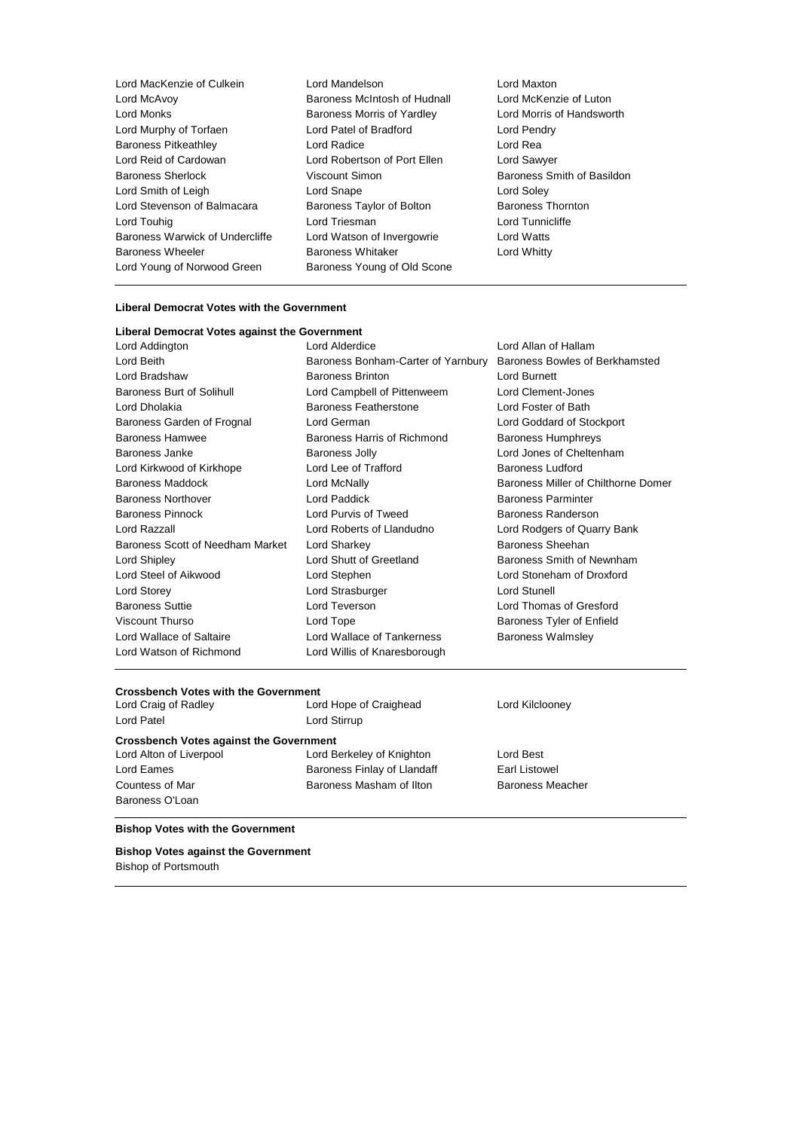| Lord MacKenzie of Culkein       | Lord Mandelson               |
|---------------------------------|------------------------------|
| Lord McAvoy                     | Baroness McIntosh of Hudnall |
| Lord Monks                      | Baroness Morris of Yardley   |
| Lord Murphy of Torfaen          | Lord Patel of Bradford       |
| <b>Baroness Pitkeathley</b>     | Lord Radice                  |
| Lord Reid of Cardowan           | Lord Robertson of Port Ellen |
| Baroness Sherlock               | Viscount Simon               |
| Lord Smith of Leigh             | Lord Snape                   |
| Lord Stevenson of Balmacara     | Baroness Taylor of Bolton    |
| Lord Touhig                     | Lord Triesman                |
| Baroness Warwick of Undercliffe | Lord Watson of Invergowrie   |
| <b>Baroness Wheeler</b>         | <b>Baroness Whitaker</b>     |
| Lord Young of Norwood Green     | Baroness Young of Old Scone  |
|                                 |                              |

Lord Maxton Lord McKenzie of Luton Lord Morris of Handsworth Lord Pendry Lord Rea Lord Sawyer Baroness Smith of Basildon Lord Soley Baroness Thornton Lord Tunnicliffe Lord Watts Lord Whitty

## **Liberal Democrat Votes with the Government**

## **Liberal Democrat Votes against the Government**

| Lord Addington                   | Lord Alderdice                     | Lord Allan of Hallam                |
|----------------------------------|------------------------------------|-------------------------------------|
| Lord Beith                       | Baroness Bonham-Carter of Yarnbury | Baroness Bowles of Berkhamsted      |
| Lord Bradshaw                    | <b>Baroness Brinton</b>            | Lord Burnett                        |
| <b>Baroness Burt of Solihull</b> | Lord Campbell of Pittenweem        | Lord Clement-Jones                  |
| Lord Dholakia                    | <b>Baroness Featherstone</b>       | Lord Foster of Bath                 |
| Baroness Garden of Frognal       | Lord German                        | Lord Goddard of Stockport           |
| <b>Baroness Hamwee</b>           | Baroness Harris of Richmond        | <b>Baroness Humphreys</b>           |
| Baroness Janke                   | <b>Baroness Jolly</b>              | Lord Jones of Cheltenham            |
| Lord Kirkwood of Kirkhope        | Lord Lee of Trafford               | <b>Baroness Ludford</b>             |
| <b>Baroness Maddock</b>          | Lord McNally                       | Baroness Miller of Chilthorne Domer |
| <b>Baroness Northover</b>        | Lord Paddick                       | <b>Baroness Parminter</b>           |
| <b>Baroness Pinnock</b>          | Lord Purvis of Tweed               | Baroness Randerson                  |
| Lord Razzall                     | Lord Roberts of Llandudno          | Lord Rodgers of Quarry Bank         |
| Baroness Scott of Needham Market | Lord Sharkey                       | Baroness Sheehan                    |
| Lord Shipley                     | Lord Shutt of Greetland            | Baroness Smith of Newnham           |
| Lord Steel of Aikwood            | Lord Stephen                       | Lord Stoneham of Droxford           |
| Lord Storey                      | Lord Strasburger                   | Lord Stunell                        |
| <b>Baroness Suttie</b>           | Lord Teverson                      | Lord Thomas of Gresford             |
| Viscount Thurso                  | Lord Tope                          | Baroness Tyler of Enfield           |
| Lord Wallace of Saltaire         | Lord Wallace of Tankerness         | <b>Baroness Walmsley</b>            |
| Lord Watson of Richmond          | Lord Willis of Knaresborough       |                                     |

## **Crossbench Votes with the Government**

| Lord Craig of Radley                           | Lord Hope of Craighead      | Lord Kilclooney |  |  |
|------------------------------------------------|-----------------------------|-----------------|--|--|
| <b>Lord Patel</b>                              | Lord Stirrup                |                 |  |  |
| <b>Crossbench Votes against the Government</b> |                             |                 |  |  |
| Lord Alton of Liverpool                        | Lord Berkeley of Knighton   | Lord Best       |  |  |
| Lord Eames                                     | Baroness Finlay of Llandaff | Earl Listowel   |  |  |

Countess of Mar **Baroness Masham of Ilton** Baroness Meacher

## **Bishop Votes with the Government**

Baroness O'Loan

**Bishop Votes against the Government** Bishop of Portsmouth